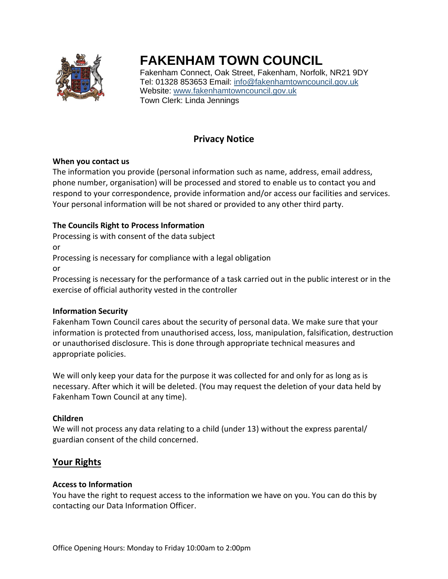

# **FAKENHAM TOWN COUNCIL**

Fakenham Connect, Oak Street, Fakenham, Norfolk, NR21 9DY Tel: 01328 853653 Email: [info@fakenhamtowncouncil.gov.uk](mailto:info@fakenhamtowncouncil.gov.uk) Website: [www.fakenhamtowncouncil.gov.uk](http://www.fakenhamtowncouncil.gov.uk/) Town Clerk: Linda Jennings

# **Privacy Notice**

## **When you contact us**

The information you provide (personal information such as name, address, email address, phone number, organisation) will be processed and stored to enable us to contact you and respond to your correspondence, provide information and/or access our facilities and services. Your personal information will be not shared or provided to any other third party.

# **The Councils Right to Process Information**

Processing is with consent of the data subject

or

Processing is necessary for compliance with a legal obligation

or

Processing is necessary for the performance of a task carried out in the public interest or in the exercise of official authority vested in the controller

## **Information Security**

Fakenham Town Council cares about the security of personal data. We make sure that your information is protected from unauthorised access, loss, manipulation, falsification, destruction or unauthorised disclosure. This is done through appropriate technical measures and appropriate policies.

We will only keep your data for the purpose it was collected for and only for as long as is necessary. After which it will be deleted. (You may request the deletion of your data held by Fakenham Town Council at any time).

# **Children**

We will not process any data relating to a child (under 13) without the express parental/ guardian consent of the child concerned.

# **Your Rights**

## **Access to Information**

You have the right to request access to the information we have on you. You can do this by contacting our Data Information Officer.